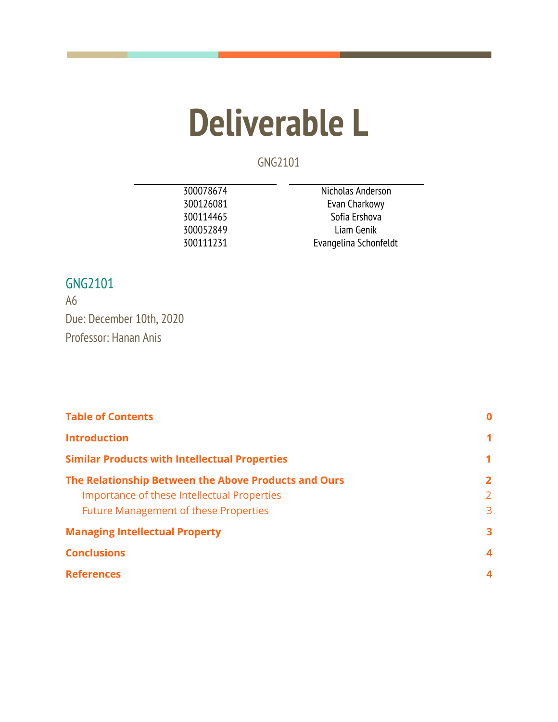# **Deliverable L**

GNG2101

| 300078674 | Nicholas Anderson     |
|-----------|-----------------------|
| 300126081 | Evan Charkowy         |
| 300114465 | Sofia Ershova         |
| 300052849 | Liam Genik            |
| 300111231 | Evangelina Schonfeldt |
|           |                       |

# GNG2101

A6 Due: December 10th, 2020 Professor: Hanan Anis

<span id="page-0-0"></span>

| <b>Table of Contents</b>                                                                            | $\bf{0}$<br>1<br>1  |
|-----------------------------------------------------------------------------------------------------|---------------------|
| <b>Introduction</b>                                                                                 |                     |
| <b>Similar Products with Intellectual Properties</b>                                                |                     |
| The Relationship Between the Above Products and Ours<br>Importance of these Intellectual Properties | $\overline{2}$<br>2 |
| <b>Future Management of these Properties</b><br><b>Managing Intellectual Property</b>               | 3<br>3              |
| <b>Conclusions</b>                                                                                  | 4                   |
| <b>References</b>                                                                                   | 4                   |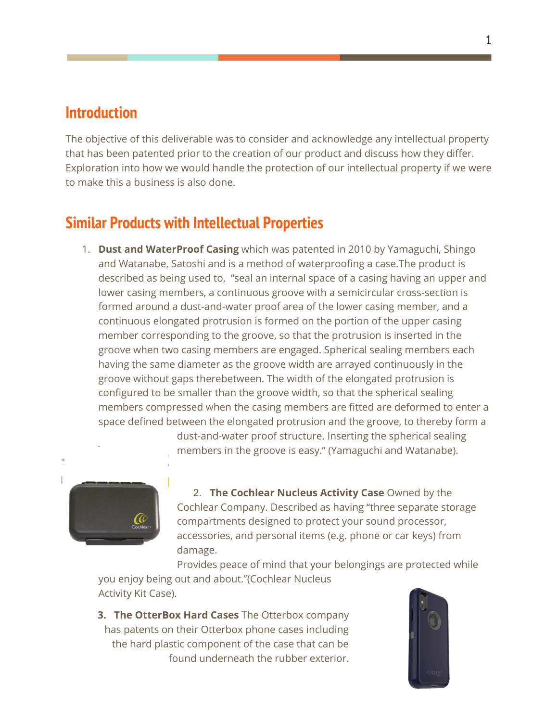#### **Introduction**

The objective of this deliverable was to consider and acknowledge any intellectual property that has been patented prior to the creation of our product and discuss how they differ. Exploration into how we would handle the protection of our intellectual property if we were to make this a business is also done.

# <span id="page-1-0"></span>**Similar Products with Intellectual Properties**

1. **Dust and WaterProof Casing** which was patented in 2010 by Yamaguchi, Shingo and Watanabe, Satoshi and is a method of waterproofing a case.The product is described as being used to, "seal an internal space of a casing having an upper and lower casing members, a continuous groove with a semicircular cross-section is formed around a dust-and-water proof area of the lower casing member, and a continuous elongated protrusion is formed on the portion of the upper casing member corresponding to the groove, so that the protrusion is inserted in the groove when two casing members are engaged. Spherical sealing members each having the same diameter as the groove width are arrayed continuously in the groove without gaps therebetween. The width of the elongated protrusion is configured to be smaller than the groove width, so that the spherical sealing members compressed when the casing members are fitted are deformed to enter a space defined between the elongated protrusion and the groove, to thereby form a

> dust-and-water proof structure. Inserting the spherical sealing members in the groove is easy." (Yamaguchi and Watanabe).



2. **The Cochlear Nucleus Activity Case** Owned by the Cochlear Company. Described as having "three separate storage compartments designed to protect your sound processor, accessories, and personal items (e.g. phone or car keys) from damage.

Provides peace of mind that your belongings are protected while you enjoy being out and about."(Cochlear Nucleus Activity Kit Case).

**3. The OtterBox Hard Cases** The Otterbox company has patents on their Otterbox phone cases including the hard plastic component of the case that can be found underneath the rubber exterior.

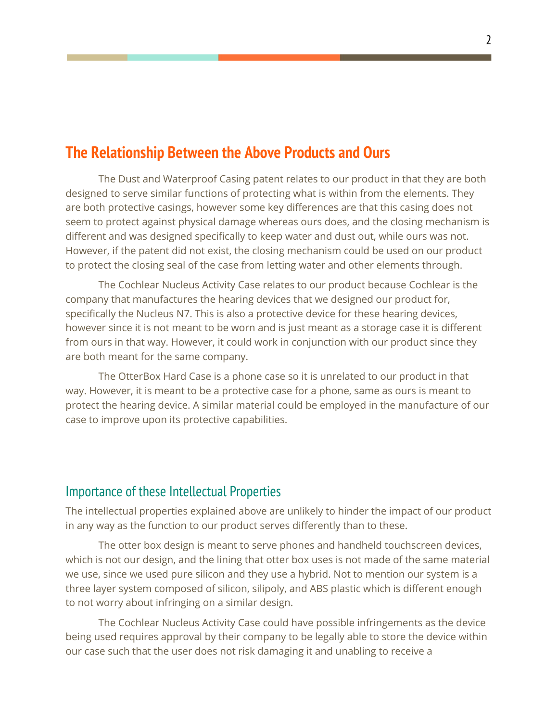## <span id="page-2-0"></span>**The Relationship Between the Above Products and Ours**

The Dust and Waterproof Casing patent relates to our product in that they are both designed to serve similar functions of protecting what is within from the elements. They are both protective casings, however some key differences are that this casing does not seem to protect against physical damage whereas ours does, and the closing mechanism is different and was designed specifically to keep water and dust out, while ours was not. However, if the patent did not exist, the closing mechanism could be used on our product to protect the closing seal of the case from letting water and other elements through.

The Cochlear Nucleus Activity Case relates to our product because Cochlear is the company that manufactures the hearing devices that we designed our product for, specifically the Nucleus N7. This is also a protective device for these hearing devices, however since it is not meant to be worn and is just meant as a storage case it is different from ours in that way. However, it could work in conjunction with our product since they are both meant for the same company.

The OtterBox Hard Case is a phone case so it is unrelated to our product in that way. However, it is meant to be a protective case for a phone, same as ours is meant to protect the hearing device. A similar material could be employed in the manufacture of our case to improve upon its protective capabilities.

#### <span id="page-2-1"></span>Importance of these Intellectual Properties

The intellectual properties explained above are unlikely to hinder the impact of our product in any way as the function to our product serves differently than to these.

The otter box design is meant to serve phones and handheld touchscreen devices, which is not our design, and the lining that otter box uses is not made of the same material we use, since we used pure silicon and they use a hybrid. Not to mention our system is a three layer system composed of silicon, silipoly, and ABS plastic which is different enough to not worry about infringing on a similar design.

The Cochlear Nucleus Activity Case could have possible infringements as the device being used requires approval by their company to be legally able to store the device within our case such that the user does not risk damaging it and unabling to receive a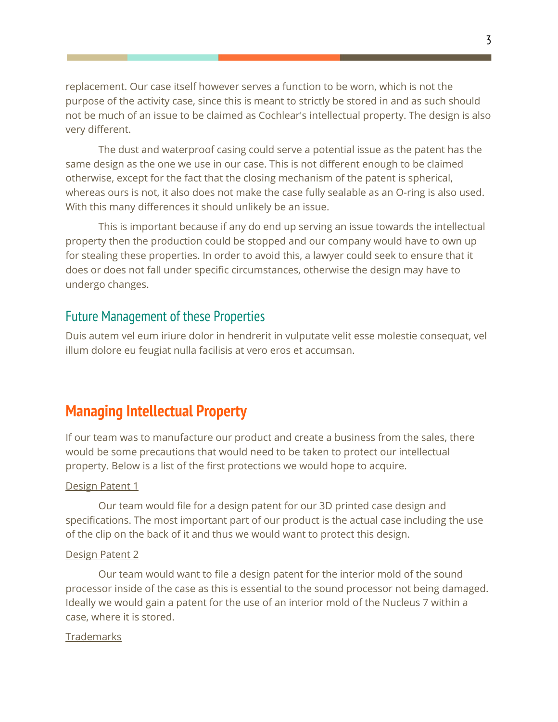replacement. Our case itself however serves a function to be worn, which is not the purpose of the activity case, since this is meant to strictly be stored in and as such should not be much of an issue to be claimed as Cochlear's intellectual property. The design is also very different.

The dust and waterproof casing could serve a potential issue as the patent has the same design as the one we use in our case. This is not different enough to be claimed otherwise, except for the fact that the closing mechanism of the patent is spherical, whereas ours is not, it also does not make the case fully sealable as an O-ring is also used. With this many differences it should unlikely be an issue.

This is important because if any do end up serving an issue towards the intellectual property then the production could be stopped and our company would have to own up for stealing these properties. In order to avoid this, a lawyer could seek to ensure that it does or does not fall under specific circumstances, otherwise the design may have to undergo changes.

#### <span id="page-3-0"></span>Future Management of these Properties

Duis autem vel eum iriure dolor in hendrerit in vulputate velit esse molestie consequat, vel illum dolore eu feugiat nulla facilisis at vero eros et accumsan.

## <span id="page-3-1"></span>**Managing Intellectual Property**

If our team was to manufacture our product and create a business from the sales, there would be some precautions that would need to be taken to protect our intellectual property. Below is a list of the first protections we would hope to acquire.

#### Design Patent 1

Our team would file for a design patent for our 3D printed case design and specifications. The most important part of our product is the actual case including the use of the clip on the back of it and thus we would want to protect this design.

#### Design Patent 2

Our team would want to file a design patent for the interior mold of the sound processor inside of the case as this is essential to the sound processor not being damaged. Ideally we would gain a patent for the use of an interior mold of the Nucleus 7 within a case, where it is stored.

#### **Trademarks**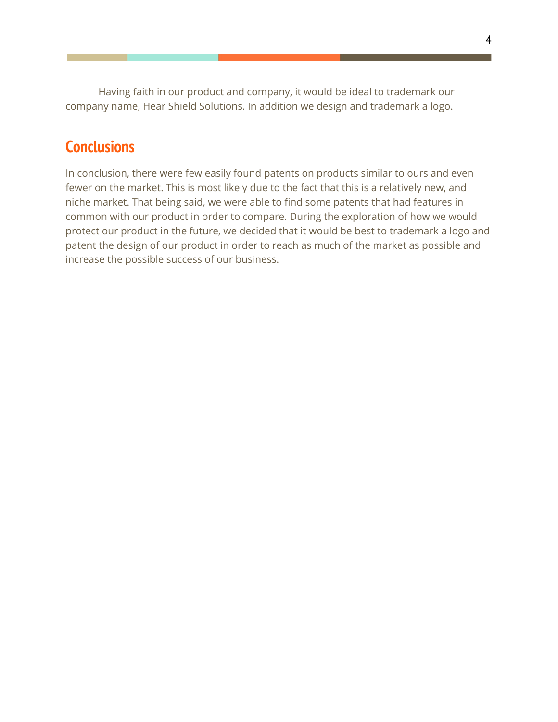Having faith in our product and company, it would be ideal to trademark our company name, Hear Shield Solutions. In addition we design and trademark a logo.

## <span id="page-4-0"></span>**Conclusions**

<span id="page-4-1"></span>In conclusion, there were few easily found patents on products similar to ours and even fewer on the market. This is most likely due to the fact that this is a relatively new, and niche market. That being said, we were able to find some patents that had features in common with our product in order to compare. During the exploration of how we would protect our product in the future, we decided that it would be best to trademark a logo and patent the design of our product in order to reach as much of the market as possible and increase the possible success of our business.